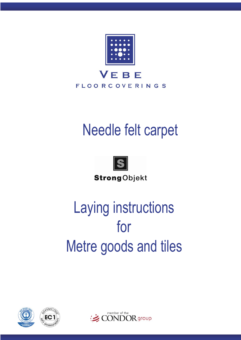

# Needle felt carpet



**Strong**Objekt

# Laying instructions for Metre goods and tiles





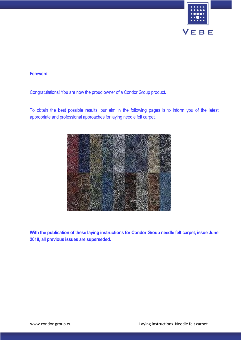

# **Foreword**

Congratulations! You are now the proud owner of a Condor Group product.

To obtain the best possible results, our aim in the following pages is to inform you of the latest appropriate and professional approaches for laying needle felt carpet.



**With the publication of these laying instructions for Condor Group needle felt carpet, issue June 2018, all previous issues are superseded.**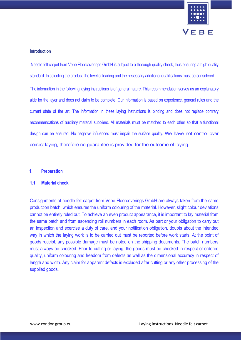

#### **Introduction**

 Needle felt carpet from Vebe Floorcoverings GmbH is subject to a thorough quality check, thus ensuring a high quality standard. In selecting the product, the level of loading and the necessary additional qualifications must be considered.

The information in the following laying instructions is of general nature. This recommendation serves as an explanatory aide for the layer and does not claim to be complete. Our information is based on experience, general rules and the current state of the art. The information in these laying instructions is binding and does not replace contrary recommendations of auxiliary material suppliers. All materials must be matched to each other so that a functional design can be ensured. No negative influences must impair the surface quality. We have not control over correct laying, therefore no guarantee is provided for the outcome of laying.

#### **1. Preparation**

#### **1.1 Material check**

Consignments of needle felt carpet from Vebe Floorcoverings GmbH are always taken from the same production batch, which ensures the uniform colouring of the material. However, slight colour deviations cannot be entirely ruled out. To achieve an even product appearance, it is important to lay material from the same batch and from ascending roll numbers in each room. As part or your obligation to carry out an inspection and exercise a duty of care, and your notification obligation, doubts about the intended way in which the laying work is to be carried out must be reported before work starts. At the point of goods receipt, any possible damage must be noted on the shipping documents. The batch numbers must always be checked. Prior to cutting or laying, the goods must be checked in respect of ordered quality, uniform colouring and freedom from defects as well as the dimensional accuracy in respect of length and width. Any claim for apparent defects is excluded after cutting or any other processing of the supplied goods.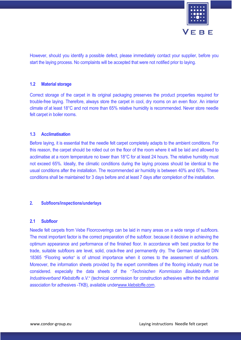

However, should you identify a possible defect, please immediately contact your supplier, before you start the laying process. No complaints will be accepted that were not notified prior to laying.

#### **1.2 Material storage**

Correct storage of the carpet in its original packaging preserves the product properties required for trouble-free laying. Therefore, always store the carpet in cool, dry rooms on an even floor. An interior climate of at least 18°C and not more than 65% relative humidity is recommended. Never store needle felt carpet in boiler rooms.

#### **1.3 Acclimatisation**

Before laying, it is essential that the needle felt carpet completely adapts to the ambient conditions. For this reason, the carpet should be rolled out on the floor of the room where it will be laid and allowed to acclimatise at a room temperature no lower than 18°C for at least 24 hours. The relative humidity must not exceed 65%. Ideally, the climatic conditions during the laying process should be identical to the usual conditions after the installation. The recommended air humidity is between 40% and 60%. These conditions shall be maintained for 3 days before and at least 7 days after completion of the installation.

# **2. Subfloors/inspections/underlays**

#### **2.1 Subfloor**

Needle felt carpets from Vebe Floorcoverings can be laid in many areas on a wide range of subfloors. The most important factor is the correct preparation of the subfloor. because it decisive in achieving the optimum appearance and performance of the finished floor. In accordance with best practice for the trade, suitable subfloors are level, solid, crack-free and permanently dry. The German standard DIN 18365 "Flooring works" is of utmost importance when it comes to the assessment of subfloors. Moreover, the information sheets provided by the expert committees of the flooring industry must be considered. especially the data sheets of the "*Technischen Kommission Bauklebstoffe im Industrieverband Klebstoffe e.V.*" (technical commission for construction adhesives within the industrial association for adhesives -TKB), available underwww.klebstoffe.com.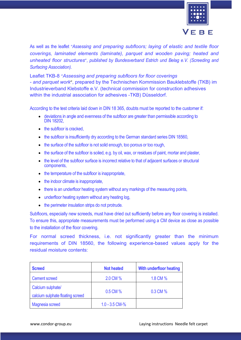

As well as the leaflet "*Assessing and preparing subfloors; laying of elastic and textile floor coverings, laminated elements (laminate), parquet and wooden paving; heated and unheated floor structures*"*, published by Bundesverband Estrich und Belag e.V. (Screeding and Surfacing Association).*

Leaflet TKB-8 "*Assessing and preparing subfloors for floor coverings - and parquet work*", prepared by the Technischen Kommission Bauklebstoffe (TKB) im Industrieverband Klebstoffe e.V. (technical commission for construction adhesives within the industrial association for adhesives -TKB) Düsseldorf.

According to the test criteria laid down in DIN 18 365, doubts must be reported to the customer if:

- deviations in angle and evenness of the subfloor are greater than permissible according to DIN 18202,
- the subfloor is cracked.
- the subfloor is insufficiently dry according to the German standard series DIN 18560.
- the surface of the subfloor is not solid enough, too porous or too rough,
- the surface of the subfloor is soiled, e.g. by oil, wax, or residues of paint, mortar and plaster,
- the level of the subfloor surface is incorrect relative to that of adjacent surfaces or structural components,
- the temperature of the subfloor is inappropriate,
- the indoor climate is inappropriate,
- there is an underfloor heating system without any markings of the measuring points,
- underfloor heating system without any heating log,
- the perimeter insulation strips do not protrude.

Subfloors, especially new screeds, must have dried out sufficiently before any floor covering is installed. To ensure this, appropriate measurements must be performed using a CM device as close as possible to the installation of the floor covering.

For normal screed thickness, i.e. not significantly greater than the minimum requirements of DIN 18560, the following experience-based values apply for the residual moisture contents:

| <b>Screed</b>                                         | <b>Not heated</b> | With underfloor heating |
|-------------------------------------------------------|-------------------|-------------------------|
| <b>Cement screed</b>                                  | 2.0 CM %          | 1.8 CM %                |
| Calcium sulphate/<br>calcium sulphate floating screed | 0.5 CM %          | 0.3 CM %                |
| Magnesia screed                                       | $1.0 - 3.5$ CM-%  |                         |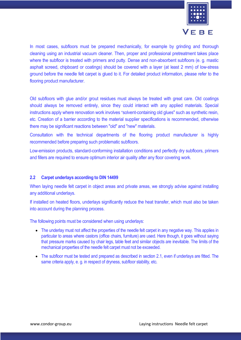

In most cases, subfloors must be prepared mechanically, for example by grinding and thorough cleaning using an industrial vacuum cleaner. Then, proper and professional pretreatment takes place where the subfloor is treated with primers and putty. Dense and non-absorbent subfloors (e. g. mastic asphalt screed, chipboard or coatings) should be covered with a layer (at least 2 mm) of low-stress ground before the needle felt carpet is glued to it. For detailed product information, please refer to the flooring product manufacturer.

Old subfloors with glue and/or grout residues must always be treated with great care. Old coatings should always be removed entirely, since they could interact with any applied materials. Special instructions apply where renovation work involves "solvent-containing old glues" such as synthetic resin, etc. Creation of a barrier according to the material supplier specifications is recommended, otherwise there may be significant reactions between "old" and "new" materials.

Consultation with the technical departments of the flooring product manufacturer is highly recommended before preparing such problematic subfloors.

Low-emission products, standard-conforming installation conditions and perfectly dry subfloors, primers and fillers are required to ensure optimum interior air quality after any floor covering work.

# **2.2 Carpet underlays according to DIN 14499**

When laying needle felt carpet in object areas and private areas, we strongly advise against installing any additional underlays.

If installed on heated floors, underlays significantly reduce the heat transfer, which must also be taken into account during the planning process.

The following points must be considered when using underlays:

- The underlay must not affect the properties of the needle felt carpet in any negative way. This applies in particular to areas where castors (office chairs, furniture) are used. Here though, it goes without saying that pressure marks caused by chair legs, table feet and similar objects are inevitable. The limits of the mechanical properties of the needle felt carpet must not be exceeded.
- The subfloor must be tested and prepared as described in section 2.1, even if underlays are fitted. The same criteria apply, e. g. in respect of dryness, subfloor stability, etc.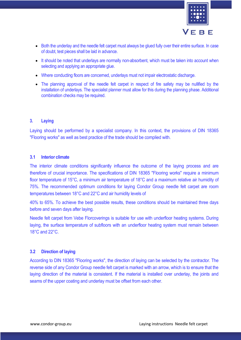

- Both the underlay and the needle felt carpet must always be glued fully over their entire surface. In case of doubt, test pieces shall be laid in advance.
- It should be noted that underlays are normally non-absorbent, which must be taken into account when selecting and applying an appropriate glue.
- Where conducting floors are concerned, underlays must not impair electrostatic discharge.
- The planning approval of the needle felt carpet in respect of fire safety may be nullified by the installation of underlays. The specialist planner must allow for this during the planning phase. Additional combination checks may be required.

#### **3. Laying**

Laying should be performed by a specialist company. In this context, the provisions of DIN 18365 "Flooring works" as well as best practice of the trade should be complied with.

# **3.1 Interior climate**

The interior climate conditions significantly influence the outcome of the laying process and are therefore of crucial importance. The specifications of DIN 18365 "Flooring works" require a minimum floor temperature of 15°C, a minimum air temperature of 18°C and a maximum relative air humidity of 75%. The recommended optimum conditions for laying Condor Group needle felt carpet are room temperatures between 18°C and 22°C and air humidity levels of

40% to 65%. To achieve the best possible results, these conditions should be maintained three days before and seven days after laying.

Needle felt carpet from Vebe Florcoverings is suitable for use with underfloor heating systems. During laying, the surface temperature of subfloors with an underfloor heating system must remain between 18°C and 22°C.

# **3.2 Direction of laying**

According to DIN 18365 "Flooring works", the direction of laying can be selected by the contractor. The reverse side of any Condor Group needle felt carpet is marked with an arrow, which is to ensure that the laying direction of the material is consistent. If the material is installed over underlay, the joints and seams of the upper coating and underlay must be offset from each other.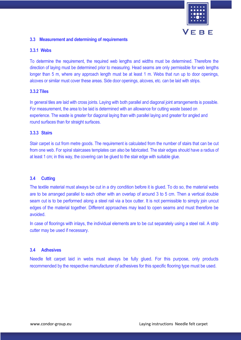

# **3.3 Measurement and determining of requirements**

#### **3.3.1 Webs**

To determine the requirement, the required web lengths and widths must be determined. Therefore the direction of laying must be determined prior to measuring. Head seams are only permissible for web lengths longer than 5 m, where any approach length must be at least 1 m. Webs that run up to door openings, alcoves or similar must cover these areas. Side door openings, alcoves, etc. can be laid with strips.

#### **3.3.2 Tiles**

In general tiles are laid with cross joints. Laying with both parallel and diagonal joint arrangements is possible. For measurement, the area to be laid is determined with an allowance for cutting waste based on experience. The waste is greater for diagonal laying than with parallel laying and greater for angled and round surfaces than for straight surfaces.

#### **3.3.3 Stairs**

Stair carpet is cut from metre goods. The requirement is calculated from the number of stairs that can be cut from one web. For spiral staircases templates can also be fabricated. The stair edges should have a radius of at least 1 cm; in this way, the covering can be glued to the stair edge with suitable glue.

# **3.4 Cutting**

The textile material must always be cut in a dry condition before it is glued. To do so, the material webs are to be arranged parallel to each other with an overlap of around 3 to 5 cm. Then a vertical double seam cut is to be performed along a steel rail via a box cutter. It is not permissible to simply join uncut edges of the material together. Different approaches may lead to open seams and must therefore be avoided.

In case of floorings with inlays, the individual elements are to be cut separately using a steel rail. A strip cutter may be used if necessary.

#### **3.4 Adhesives**

Needle felt carpet laid in webs must always be fully glued. For this purpose, only products recommended by the respective manufacturer of adhesives for this specific flooring type must be used.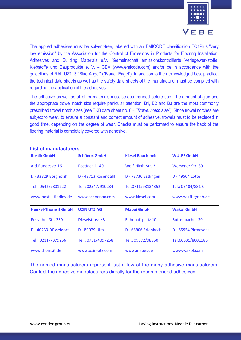

The applied adhesives must be solvent-free, labelled with an EMICODE classification EC1Plus "very low emission" by the Association for the Control of Emissions in Products for Flooring Installation, Adhesives and Building Materials e.V. (Gemeinschaft emissionskontrollierte Verlegewerkstoffe, Klebstoffe und Bauprodukte e. V. – GEV (www.emicode.com) and/or be in accordance with the guidelines of RAL UZ113 "Blue Angel" ("Blauer Engel"). In addition to the acknowledged best practice, the technical data sheets as well as the safety data sheets of the manufacturer must be complied with regarding the application of the adhesives.

The adhesive as well as all other materials must be acclimatised before use. The amount of glue and the appropriate trowel notch size require particular attention. B1, B2 and B3 are the most commonly prescribed trowel notch sizes (see TKB data sheet no. 6 – *"Trowel notch size")*. Since trowel notches are subject to wear, to ensure a constant and correct amount of adhesive, trowels must to be replaced in good time, depending on the degree of wear. Checks must be performed to ensure the back of the flooring material is completely covered with adhesive.

| <b>Bostik GmbH</b>         | <b>Schönox GmbH</b> | <b>Kiesel Bauchemie</b> | <b>WULFF GmbH</b>      |
|----------------------------|---------------------|-------------------------|------------------------|
| A.d.Bundesstr.16           | Postfach 1140       | Wolf-Hirth-Str. 2       | Wersener Str. 30       |
| D - 33829 Borgholzh.       | D - 48713 Rosendahl | D - 73730 Esslingen     | D - 49504 Lotte        |
| Tel.: 05425/801222         | Tel.: 02547/910234  | Tel.0711/93134352       | Tel.: 05404/881-0      |
| www.bostik-findley.de      | www.schoenox.com    | www.kiesel.com          | www.wulff-gmbh.de      |
| <b>Henkel-Thomsit GmbH</b> | <b>UZIN UTZ AG</b>  | <b>Mapei GmbH</b>       | <b>Wakol GmbH</b>      |
| <b>Erkrather Str. 230</b>  | Dieselstrasse 3     | <b>Bahnhofsplatz 10</b> | <b>Bottenbacher 30</b> |
| D - 40233 Düsseldorf       | D - 89079 Ulm       | D - 63906 Erlenbach     | D - 66954 Pirmasens    |
| Tel.: 0211/7379256         | Tel.: 0731/4097258  | Tel.: 09372/98950       | Tel.06331/8001186      |
| www.thomsit.de             | www.uzin-utz.com    | www.mapei.de            | www.wakol.com          |

# **List of manufacturers:**

The named manufacturers represent just a few of the many adhesive manufacturers. Contact the adhesive manufacturers directly for the recommended adhesives.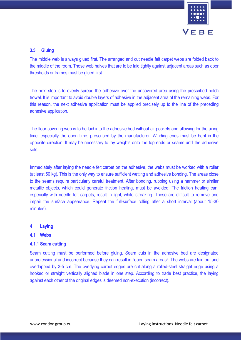

# **3.5 Gluing**

The middle web is always glued first. The arranged and cut needle felt carpet webs are folded back to the middle of the room. Those web halves that are to be laid tightly against adjacent areas such as door thresholds or frames must be glued first.

The next step is to evenly spread the adhesive over the uncovered area using the prescribed notch trowel. It is important to avoid double layers of adhesive in the adjacent area of the remaining webs. For this reason, the next adhesive application must be applied precisely up to the line of the preceding adhesive application.

The floor covering web is to be laid into the adhesive bed without air pockets and allowing for the airing time, especially the open time, prescribed by the manufacturer. Winding ends must be bent in the opposite direction. It may be necessary to lay weights onto the top ends or seams until the adhesive sets.

Immediately after laying the needle felt carpet on the adhesive, the webs must be worked with a roller (at least 50 kg). This is the only way to ensure sufficient wetting and adhesive bonding. The areas close to the seams require particularly careful treatment. After bonding, rubbing using a hammer or similar metallic objects, which could generate friction heating, must be avoided. The friction heating can, especially with needle felt carpets, result in light, white streaking. These are difficult to remove and impair the surface appearance. Repeat the full-surface rolling after a short interval (about 15-30 minutes).

# **4 Laying**

# **4.1 Webs**

# **4.1.1 Seam cutting**

Seam cutting must be performed before gluing. Seam cuts in the adhesive bed are designated unprofessional and incorrect because they can result in "open seam areas". The webs are laid out and overlapped by 3-5 cm. The overlying carpet edges are cut along a rolled-steel straight edge using a hooked or straight vertically aligned blade in one step. According to trade best practice, the laying against each other of the original edges is deemed non-execution (incorrect).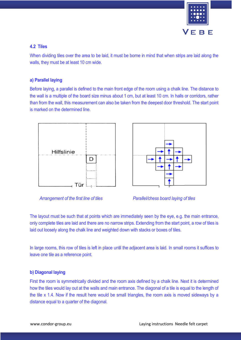

# **4.2 Tiles**

When dividing tiles over the area to be laid, it must be borne in mind that when strips are laid along the walls, they must be at least 10 cm wide.

# **a) Parallel laying**

Before laying, a parallel is defined to the main front edge of the room using a chalk line. The distance to the wall is a multiple of the board size minus about 1 cm, but at least 10 cm. In halls or corridors, rather than from the wall, this measurement can also be taken from the deepest door threshold. The start point is marked on the determined line.









The layout must be such that at points which are immediately seen by the eye, e.g. the main entrance, only complete tiles are laid and there are no narrow strips. Extending from the start point, a row of tiles is laid out loosely along the chalk line and weighted down with stacks or boxes of tiles.

In large rooms, this row of tiles is left in place until the adjacent area is laid. In small rooms it suffices to leave one tile as a reference point.

# **b) Diagonal laying**

First the room is symmetrically divided and the room axis defined by a chalk line. Next it is determined how the tiles would lay out at the walls and main entrance. The diagonal of a tile is equal to the length of the tile x 1.4. Now if the result here would be small triangles, the room axis is moved sideways by a distance equal to a quarter of the diagonal.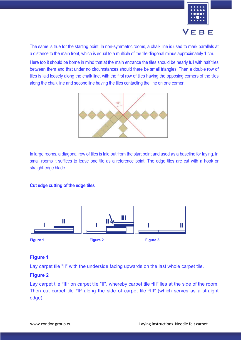

The same is true for the starting point. In non-symmetric rooms, a chalk line is used to mark parallels at a distance to the main front, which is equal to a multiple of the tile diagonal minus approximately 1 cm.

Here too it should be borne in mind that at the main entrance the tiles should be nearly full with half tiles between them and that under no circumstances should there be small triangles. Then a double row of tiles is laid loosely along the chalk line, with the first row of tiles having the opposing corners of the tiles along the chalk line and second line having the tiles contacting the line on one corner.



In large rooms, a diagonal row of tiles is laid out from the start point and used as a baseline for laying. In small rooms it suffices to leave one tile as a reference point. The edge tiles are cut with a hook or straight-edge blade.

# **Cut edge cutting of the edge tiles**



# **Figure 1**

Lay carpet tile "II" with the underside facing upwards on the last whole carpet tile.

# **Figure 2**

Lay carpet tile "III" on carpet tile "II", whereby carpet tile "III" lies at the side of the room. Then cut carpet tile "II" along the side of carpet tile "III" (which serves as a straight edge).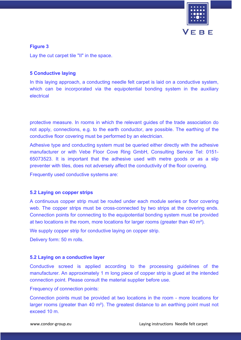

**Figure 3**

Lay the cut carpet tile "II" in the space.

# **5 Conductive laying**

In this laying approach, a conducting needle felt carpet is laid on a conductive system, which can be incorporated via the equipotential bonding system in the auxiliary electrical

protective measure. In rooms in which the relevant guides of the trade association do not apply, connections, e.g. to the earth conductor, are possible. The earthing of the conductive floor covering must be performed by an electrician.

Adhesive type and conducting system must be queried either directly with the adhesive manufacturer or with Vebe Floor Cove Ring GmbH, Consulting Service Tel: 0151- 65073523. It is important that the adhesive used with metre goods or as a slip preventer with tiles, does not adversely affect the conductivity of the floor covering.

Frequently used conductive systems are:

# **5.2 Laying on copper strips**

A continuous copper strip must be routed under each module series or floor covering web. The copper strips must be cross-connected by two strips at the covering ends. Connection points for connecting to the equipotential bonding system must be provided at two locations in the room, more locations for larger rooms (greater than 40 m²).

We supply copper strip for conductive laying on copper strip.

Delivery form: 50 m rolls.

# **5.2 Laying on a conductive layer**

Conductive screed is applied according to the processing guidelines of the manufacturer. An approximately 1 m long piece of copper strip is glued at the intended connection point. Please consult the material supplier before use.

Frequency of connection points:

Connection points must be provided at two locations in the room - more locations for larger rooms (greater than 40 m<sup>2</sup>). The greatest distance to an earthing point must not exceed 10 m.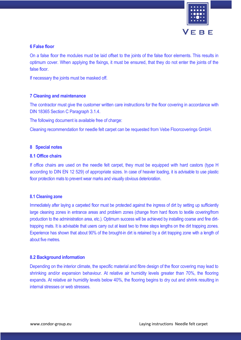

### **6 False floor**

On a false floor the modules must be laid offset to the joints of the false floor elements. This results in optimum cover. When applying the fixings, it must be ensured, that they do not enter the joints of the false floor.

If necessary the joints must be masked off.

#### **7 Cleaning and maintenance**

The contractor must give the customer written care instructions for the floor covering in accordance with DIN 18365 Section C Paragraph 3.1.4.

The following document is available free of charge:

Cleaning recommendation for needle felt carpet can be requested from Vebe Floorcoverings GmbH.

#### **8 Special notes**

#### **8.1 Office chairs**

If office chairs are used on the needle felt carpet, they must be equipped with hard castors (type H according to DIN EN 12 529) of appropriate sizes. In case of heavier loading, it is advisable to use plastic floor protection mats to prevent wear marks and visually obvious deterioration.

#### **8.1 Cleaning zone**

Immediately after laying a carpeted floor must be protected against the ingress of dirt by setting up sufficiently large cleaning zones in entrance areas and problem zones (change from hard floors to textile covering/from production to the administration area, etc.). Optimum success will be achieved by installing coarse and fine dirttrapping mats. It is advisable that users carry out at least two to three steps lengths on the dirt trapping zones. Experience has shown that about 90% of the brought-in dirt is retained by a dirt trapping zone with a length of about five metres.

#### **8.2 Background information**

Depending on the interior climate, the specific material and fibre design of the floor covering may lead to shrinking and/or expansion behaviour. At relative air humidity levels greater than 70%, the flooring expands. At relative air humidity levels below 40%, the flooring begins to dry out and shrink resulting in internal stresses or web stresses.